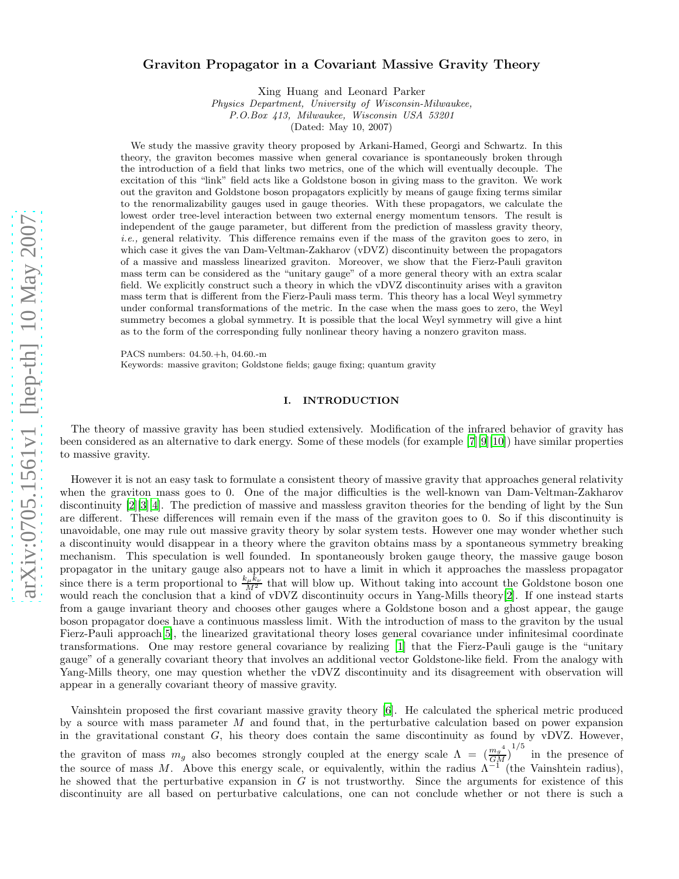# Graviton Propagator in a Covariant Massive Gravity Theory

Xing Huang and Leonard Parker

Physics Department, University of Wisconsin-Milwaukee, P.O.Box 413, Milwaukee, Wisconsin USA 53201

(Dated: May 10, 2007)

We study the massive gravity theory proposed by Arkani-Hamed, Georgi and Schwartz. In this theory, the graviton becomes massive when general covariance is spontaneously broken through the introduction of a field that links two metrics, one of the which will eventually decouple. The excitation of this "link" field acts like a Goldstone boson in giving mass to the graviton. We work out the graviton and Goldstone boson propagators explicitly by means of gauge fixing terms similar to the renormalizability gauges used in gauge theories. With these propagators, we calculate the lowest order tree-level interaction between two external energy momentum tensors. The result is independent of the gauge parameter, but different from the prediction of massless gravity theory, i.e., general relativity. This difference remains even if the mass of the graviton goes to zero, in which case it gives the van Dam-Veltman-Zakharov (vDVZ) discontinuity between the propagators of a massive and massless linearized graviton. Moreover, we show that the Fierz-Pauli graviton mass term can be considered as the "unitary gauge" of a more general theory with an extra scalar field. We explicitly construct such a theory in which the vDVZ discontinuity arises with a graviton mass term that is different from the Fierz-Pauli mass term. This theory has a local Weyl symmetry under conformal transformations of the metric. In the case when the mass goes to zero, the Weyl summetry becomes a global symmetry. It is possible that the local Weyl symmetry will give a hint as to the form of the corresponding fully nonlinear theory having a nonzero graviton mass.

PACS numbers: 04.50.+h, 04.60.-m

Keywords: massive graviton; Goldstone fields; gauge fixing; quantum gravity

## I. INTRODUCTION

The theory of massive gravity has been studied extensively. Modification of the infrared behavior of gravity has been considered as an alternative to dark energy. Some of these models (for example [\[7](#page-6-0)][\[9\]](#page-6-1)[\[10](#page-6-2)]) have similar properties to massive gravity.

However it is not an easy task to formulate a consistent theory of massive gravity that approaches general relativity when the graviton mass goes to 0. One of the major difficulties is the well-known van Dam-Veltman-Zakharov discontinuity [\[2](#page-6-3)][\[3\]](#page-6-4)[\[4](#page-6-5)]. The prediction of massive and massless graviton theories for the bending of light by the Sun are different. These differences will remain even if the mass of the graviton goes to 0. So if this discontinuity is unavoidable, one may rule out massive gravity theory by solar system tests. However one may wonder whether such a discontinuity would disappear in a theory where the graviton obtains mass by a spontaneous symmetry breaking mechanism. This speculation is well founded. In spontaneously broken gauge theory, the massive gauge boson propagator in the unitary gauge also appears not to have a limit in which it approaches the massless propagator since there is a term proportional to  $\frac{k_{\mu}k_{\nu}}{M^2}$  that will blow up. Without taking into account the Goldstone boson one would reach the conclusion that a kind of vDVZ discontinuity occurs in Yang-Mills theory[\[2\]](#page-6-3). If one instead starts from a gauge invariant theory and chooses other gauges where a Goldstone boson and a ghost appear, the gauge boson propagator does have a continuous massless limit. With the introduction of mass to the graviton by the usual Fierz-Pauli approach[\[5\]](#page-6-6), the linearized gravitational theory loses general covariance under infinitesimal coordinate transformations. One may restore general covariance by realizing [\[1\]](#page-6-7) that the Fierz-Pauli gauge is the "unitary gauge" of a generally covariant theory that involves an additional vector Goldstone-like field. From the analogy with Yang-Mills theory, one may question whether the vDVZ discontinuity and its disagreement with observation will appear in a generally covariant theory of massive gravity.

Vainshtein proposed the first covariant massive gravity theory [\[6\]](#page-6-8). He calculated the spherical metric produced by a source with mass parameter M and found that, in the perturbative calculation based on power expansion in the gravitational constant  $G$ , his theory does contain the same discontinuity as found by vDVZ. However, the graviton of mass  $m_g$  also becomes strongly coupled at the energy scale  $\Lambda = \left(\frac{m_g^4}{GM}\right)^{1/5}$  in the presence of the source of mass M. Above this energy scale, or equivalently, within the radius  $\Lambda^{-1}$  (the Vainshtein radius), he showed that the perturbative expansion in  $G$  is not trustworthy. Since the arguments for existence of this discontinuity are all based on perturbative calculations, one can not conclude whether or not there is such a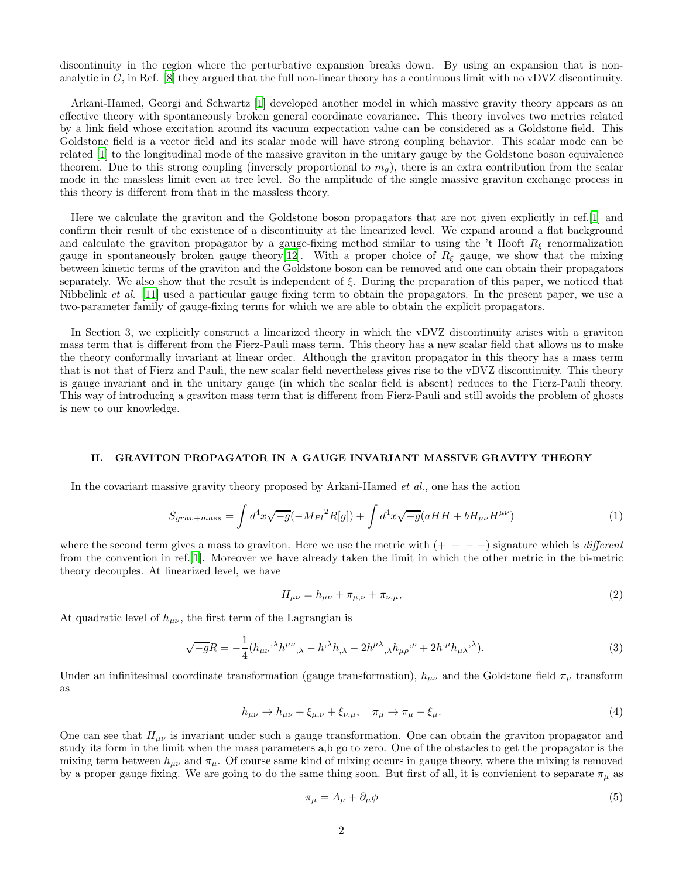discontinuity in the region where the perturbative expansion breaks down. By using an expansion that is nonanalytic in  $G$ , in Ref.  $[8]$  they argued that the full non-linear theory has a continuous limit with no vDVZ discontinuity.

Arkani-Hamed, Georgi and Schwartz [\[1](#page-6-7)] developed another model in which massive gravity theory appears as an effective theory with spontaneously broken general coordinate covariance. This theory involves two metrics related by a link field whose excitation around its vacuum expectation value can be considered as a Goldstone field. This Goldstone field is a vector field and its scalar mode will have strong coupling behavior. This scalar mode can be related [\[1\]](#page-6-7) to the longitudinal mode of the massive graviton in the unitary gauge by the Goldstone boson equivalence theorem. Due to this strong coupling (inversely proportional to  $m<sub>g</sub>$ ), there is an extra contribution from the scalar mode in the massless limit even at tree level. So the amplitude of the single massive graviton exchange process in this theory is different from that in the massless theory.

Here we calculate the graviton and the Goldstone boson propagators that are not given explicitly in ref.[\[1](#page-6-7)] and confirm their result of the existence of a discontinuity at the linearized level. We expand around a flat background and calculate the graviton propagator by a gauge-fixing method similar to using the 't Hooft  $R_{\xi}$  renormalization gauge in spontaneously broken gauge theory[\[12](#page-6-10)]. With a proper choice of  $R_{\xi}$  gauge, we show that the mixing between kinetic terms of the graviton and the Goldstone boson can be removed and one can obtain their propagators separately. We also show that the result is independent of  $\xi$ . During the preparation of this paper, we noticed that Nibbelink et al. [\[11\]](#page-6-11) used a particular gauge fixing term to obtain the propagators. In the present paper, we use a two-parameter family of gauge-fixing terms for which we are able to obtain the explicit propagators.

In Section 3, we explicitly construct a linearized theory in which the vDVZ discontinuity arises with a graviton mass term that is different from the Fierz-Pauli mass term. This theory has a new scalar field that allows us to make the theory conformally invariant at linear order. Although the graviton propagator in this theory has a mass term that is not that of Fierz and Pauli, the new scalar field nevertheless gives rise to the vDVZ discontinuity. This theory is gauge invariant and in the unitary gauge (in which the scalar field is absent) reduces to the Fierz-Pauli theory. This way of introducing a graviton mass term that is different from Fierz-Pauli and still avoids the problem of ghosts is new to our knowledge.

#### II. GRAVITON PROPAGATOR IN A GAUGE INVARIANT MASSIVE GRAVITY THEORY

In the covariant massive gravity theory proposed by Arkani-Hamed et al., one has the action

<span id="page-1-0"></span>
$$
S_{grav+mass} = \int d^4x \sqrt{-g} \left( -M_{Pl}{}^2 R[g] \right) + \int d^4x \sqrt{-g} \left( aHH + bH_{\mu\nu}H^{\mu\nu} \right) \tag{1}
$$

where the second term gives a mass to graviton. Here we use the metric with  $(+ - - -)$  signature which is different from the convention in ref.[\[1](#page-6-7)]. Moreover we have already taken the limit in which the other metric in the bi-metric theory decouples. At linearized level, we have

$$
H_{\mu\nu} = h_{\mu\nu} + \pi_{\mu,\nu} + \pi_{\nu,\mu},\tag{2}
$$

At quadratic level of  $h_{\mu\nu}$ , the first term of the Lagrangian is

<span id="page-1-1"></span>
$$
\sqrt{-g}R = -\frac{1}{4}(h_{\mu\nu}{}^{\lambda}h^{\mu\nu}{}_{,\lambda} - h^{\lambda}h_{,\lambda} - 2h^{\mu\lambda}{}_{,\lambda}h_{\mu\rho}{}^{\rho} + 2h^{\mu}h_{\mu\lambda}{}^{\lambda}).\tag{3}
$$

Under an infinitesimal coordinate transformation (gauge transformation),  $h_{\mu\nu}$  and the Goldstone field  $\pi_{\mu}$  transform as

<span id="page-1-2"></span>
$$
h_{\mu\nu} \to h_{\mu\nu} + \xi_{\mu,\nu} + \xi_{\nu,\mu}, \quad \pi_{\mu} \to \pi_{\mu} - \xi_{\mu}.\tag{4}
$$

One can see that  $H_{\mu\nu}$  is invariant under such a gauge transformation. One can obtain the graviton propagator and study its form in the limit when the mass parameters a,b go to zero. One of the obstacles to get the propagator is the mixing term between  $h_{\mu\nu}$  and  $\pi_{\mu}$ . Of course same kind of mixing occurs in gauge theory, where the mixing is removed by a proper gauge fixing. We are going to do the same thing soon. But first of all, it is convienient to separate  $\pi_{\mu}$  as

$$
\pi_{\mu} = A_{\mu} + \partial_{\mu}\phi \tag{5}
$$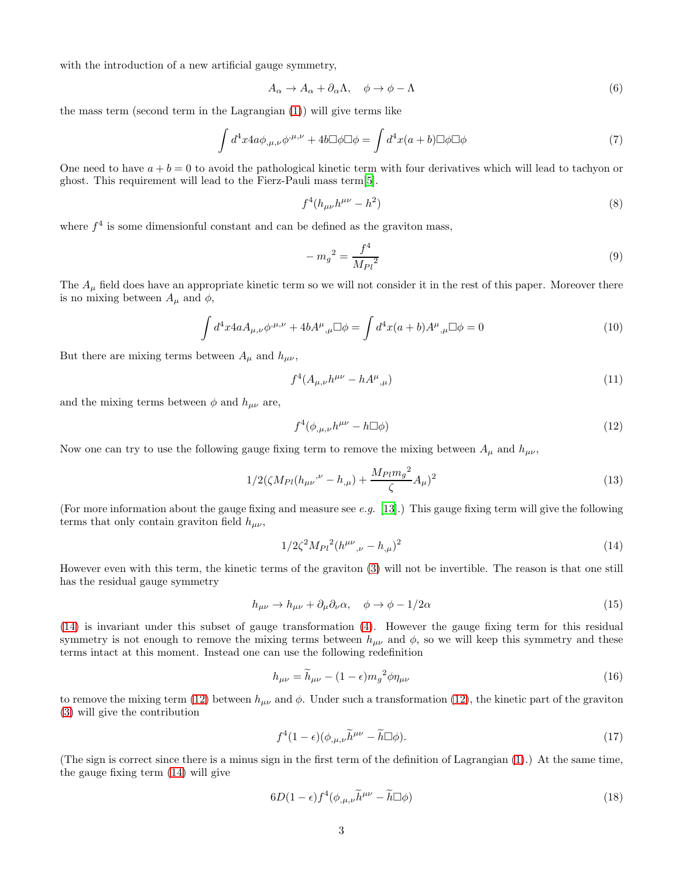with the introduction of a new artificial gauge symmetry,

$$
A_{\alpha} \to A_{\alpha} + \partial_{\alpha} \Lambda, \quad \phi \to \phi - \Lambda \tag{6}
$$

the mass term (second term in the Lagrangian [\(1\)](#page-1-0)) will give terms like

$$
\int d^4x 4a \phi_{,\mu,\nu} \phi^{,\mu,\nu} + 4b \Box \phi \Box \phi = \int d^4x (a+b) \Box \phi \Box \phi \tag{7}
$$

One need to have  $a + b = 0$  to avoid the pathological kinetic term with four derivatives which will lead to tachyon or ghost. This requirement will lead to the Fierz-Pauli mass term[\[5\]](#page-6-6).

<span id="page-2-2"></span>
$$
f^4(h_{\mu\nu}h^{\mu\nu} - h^2) \tag{8}
$$

where  $f<sup>4</sup>$  is some dimensionful constant and can be defined as the graviton mass,

$$
-m_g^2 = \frac{f^4}{M_{Pl}^2} \tag{9}
$$

The  $A_\mu$  field does have an appropriate kinetic term so we will not consider it in the rest of this paper. Moreover there is no mixing between  $A_{\mu}$  and  $\phi$ ,

$$
\int d^4x 4a A_{\mu,\nu} \phi^{,\mu,\nu} + 4b A^{\mu}{}_{,\mu} \Box \phi = \int d^4x (a+b) A^{\mu}{}_{,\mu} \Box \phi = 0 \tag{10}
$$

But there are mixing terms between  $A_{\mu}$  and  $h_{\mu\nu}$ ,

$$
f^4(A_{\mu,\nu}h^{\mu\nu} - hA^{\mu}{}_{,\mu})\tag{11}
$$

and the mixing terms between  $\phi$  and  $h_{\mu\nu}$  are,

<span id="page-2-1"></span>
$$
f^4(\phi_{,\mu,\nu}h^{\mu\nu} - h\Box\phi) \tag{12}
$$

Now one can try to use the following gauge fixing term to remove the mixing between  $A_\mu$  and  $h_{\mu\nu}$ ,

<span id="page-2-5"></span>
$$
1/2(\zeta M_{Pl}(h_{\mu\nu}^{\ \nu} - h_{,\mu}) + \frac{M_{Pl}m_g^2}{\zeta}A_{\mu})^2
$$
\n(13)

(For more information about the gauge fixing and measure see e.g. [\[13\]](#page-6-12).) This gauge fixing term will give the following terms that only contain graviton field  $h_{\mu\nu}$ ,

<span id="page-2-0"></span>
$$
1/2\zeta^2 M_{Pl}{}^2 (h^{\mu\nu}{}_{,\nu} - h_{,\mu})^2 \tag{14}
$$

However even with this term, the kinetic terms of the graviton [\(3\)](#page-1-1) will not be invertible. The reason is that one still has the residual gauge symmetry

<span id="page-2-3"></span>
$$
h_{\mu\nu} \to h_{\mu\nu} + \partial_{\mu}\partial_{\nu}\alpha, \quad \phi \to \phi - 1/2\alpha \tag{15}
$$

[\(14\)](#page-2-0) is invariant under this subset of gauge transformation [\(4\)](#page-1-2). However the gauge fixing term for this residual symmetry is not enough to remove the mixing terms between  $h_{\mu\nu}$  and  $\phi$ , so we will keep this symmetry and these terms intact at this moment. Instead one can use the following redefinition

<span id="page-2-4"></span>
$$
h_{\mu\nu} = \tilde{h}_{\mu\nu} - (1 - \epsilon)m_g^2 \phi \eta_{\mu\nu} \tag{16}
$$

to remove the mixing term [\(12\)](#page-2-1) between  $h_{\mu\nu}$  and  $\phi$ . Under such a transformation (12), the kinetic part of the graviton [\(3\)](#page-1-1) will give the contribution

$$
f^4(1 - \epsilon)(\phi_{,\mu,\nu}\widetilde{h}^{\mu\nu} - \widetilde{h}\square\phi).
$$
 (17)

(The sign is correct since there is a minus sign in the first term of the definition of Lagrangian [\(1\)](#page-1-0).) At the same time, the gauge fixing term [\(14\)](#page-2-0) will give

$$
6D(1 - \epsilon)f^4(\phi_{,\mu,\nu}\tilde{h}^{\mu\nu} - \tilde{h}\Box\phi)
$$
\n(18)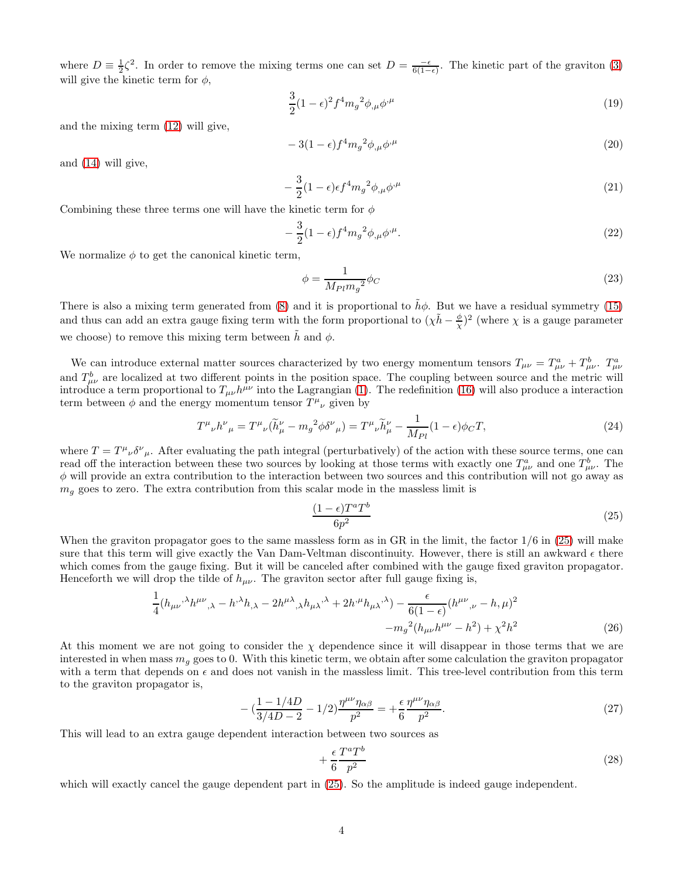where  $D = \frac{1}{2}\zeta^2$ . In order to remove the mixing terms one can set  $D = \frac{-\epsilon}{6(1-\epsilon)}$ . The kinetic part of the graviton [\(3\)](#page-1-1) will give the kinetic term for  $\phi$ .

$$
\frac{3}{2}(1-\epsilon)^2 f^4 m_g^2 \phi_{,\mu} \phi^{\mu} \tag{19}
$$

and the mixing term [\(12\)](#page-2-1) will give,

$$
-3(1-\epsilon)f^4m_g^2\phi_{,\mu}\phi^{,\mu} \tag{20}
$$

and [\(14\)](#page-2-0) will give,

$$
-\frac{3}{2}(1-\epsilon)\epsilon f^4 m_g^2 \phi_{,\mu} \phi^{,\mu} \tag{21}
$$

Combining these three terms one will have the kinetic term for  $\phi$ 

<span id="page-3-1"></span>
$$
-\frac{3}{2}(1-\epsilon)f^4m_g^2\phi_{,\mu}\phi^{,\mu}.
$$
\n(22)

We normalize  $\phi$  to get the canonical kinetic term,

$$
\phi = \frac{1}{M_{Pl} m_g^2} \phi_C \tag{23}
$$

There is also a mixing term generated from [\(8\)](#page-2-2) and it is proportional to  $\tilde{h}\phi$ . But we have a residual symmetry [\(15\)](#page-2-3) and thus can add an extra gauge fixing term with the form proportional to  $(\chi \tilde{h} - \frac{\phi}{\chi})^2$  (where  $\chi$  is a gauge parameter we choose) to remove this mixing term between  $\tilde{h}$  and  $\phi$ .

We can introduce external matter sources characterized by two energy momentum tensors  $T_{\mu\nu} = T_{\mu\nu}^a + T_{\mu\nu}^b$ .  $T_{\mu\nu}^a$ and  $T_{\mu\nu}^b$  are localized at two different points in the position space. The coupling between source and the metric will introduce a term proportional to  $T_{\mu\nu}h^{\mu\nu}$  into the Lagrangian [\(1\)](#page-1-0). The redefinition [\(16\)](#page-2-4) will also produce a interaction term between  $\phi$  and the energy momentum tensor  $T^{\mu}{}_{\nu}$  given by

$$
T^{\mu}{}_{\nu}h^{\nu}{}_{\mu} = T^{\mu}{}_{\nu}(\tilde{h}^{\nu}_{\mu} - m_g^2 \phi \delta^{\nu}{}_{\mu}) = T^{\mu}{}_{\nu}\tilde{h}^{\nu}_{\mu} - \frac{1}{M_{Pl}}(1 - \epsilon)\phi_C T,\tag{24}
$$

where  $T = T^{\mu}{}_{\nu}\delta^{\nu}{}_{\mu}$ . After evaluating the path integral (perturbatively) of the action with these source terms, one can read off the interaction between these two sources by looking at those terms with exactly one  $T^a_{\mu\nu}$  and one  $T^b_{\mu\nu}$ . The  $\phi$  will provide an extra contribution to the interaction between two sources and this contribution will not go away as  $m_q$  goes to zero. The extra contribution from this scalar mode in the massless limit is

<span id="page-3-0"></span>
$$
\frac{(1 - \epsilon)T^a T^b}{6p^2} \tag{25}
$$

When the graviton propagator goes to the same massless form as in GR in the limit, the factor  $1/6$  in [\(25\)](#page-3-0) will make sure that this term will give exactly the Van Dam-Veltman discontinuity. However, there is still an awkward  $\epsilon$  there which comes from the gauge fixing. But it will be canceled after combined with the gauge fixed graviton propagator. Henceforth we will drop the tilde of  $h_{\mu\nu}$ . The graviton sector after full gauge fixing is,

$$
\frac{1}{4}(h_{\mu\nu}{}^{\lambda}h^{\mu\nu}{}_{,\lambda} - h^{\lambda}h_{,\lambda} - 2h^{\mu\lambda}{}_{,\lambda}h_{\mu\lambda}{}^{\lambda} + 2h^{\mu}h_{\mu\lambda}{}^{\lambda}) - \frac{\epsilon}{6(1-\epsilon)}(h^{\mu\nu}{}_{,\nu} - h_{,\mu})^2 - m_g^2(h_{\mu\nu}h^{\mu\nu} - h^2) + \chi^2h^2
$$
\n(26)

At this moment we are not going to consider the  $\chi$  dependence since it will disappear in those terms that we are interested in when mass  $m_q$  goes to 0. With this kinetic term, we obtain after some calculation the graviton propagator with a term that depends on  $\epsilon$  and does not vanish in the massless limit. This tree-level contribution from this term to the graviton propagator is,

$$
-\left(\frac{1-1/4D}{3/4D-2} - 1/2\right) \frac{\eta^{\mu\nu}\eta_{\alpha\beta}}{p^2} = +\frac{\epsilon}{6} \frac{\eta^{\mu\nu}\eta_{\alpha\beta}}{p^2}.
$$
 (27)

This will lead to an extra gauge dependent interaction between two sources as

$$
+\frac{\epsilon}{6} \frac{T^a T^b}{p^2} \tag{28}
$$

which will exactly cancel the gauge dependent part in  $(25)$ . So the amplitude is indeed gauge independent.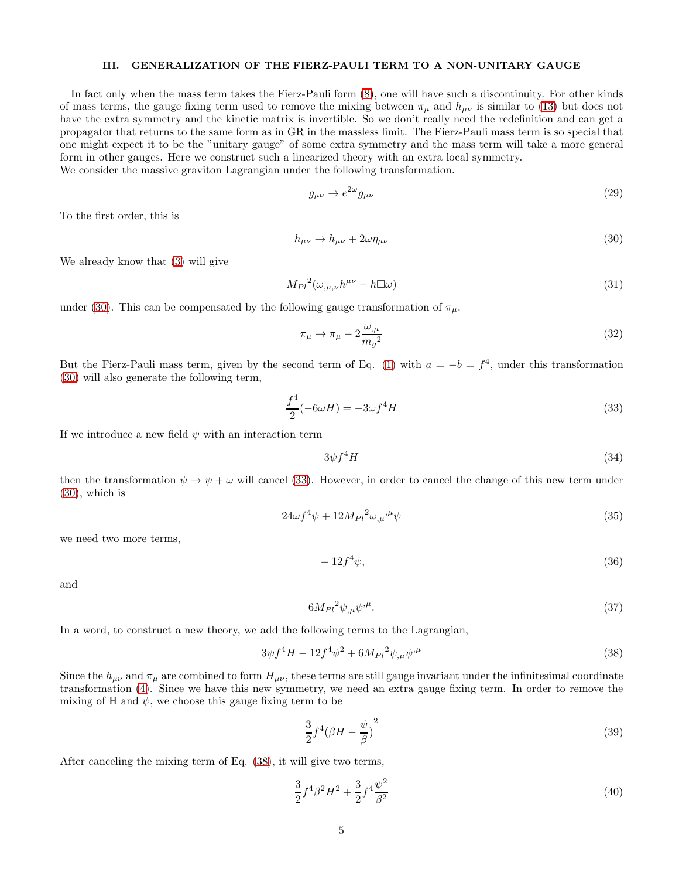## III. GENERALIZATION OF THE FIERZ-PAULI TERM TO A NON-UNITARY GAUGE

In fact only when the mass term takes the Fierz-Pauli form [\(8\)](#page-2-2), one will have such a discontinuity. For other kinds of mass terms, the gauge fixing term used to remove the mixing between  $\pi_{\mu}$  and  $h_{\mu\nu}$  is similar to [\(13\)](#page-2-5) but does not have the extra symmetry and the kinetic matrix is invertible. So we don't really need the redefinition and can get a propagator that returns to the same form as in GR in the massless limit. The Fierz-Pauli mass term is so special that one might expect it to be the "unitary gauge" of some extra symmetry and the mass term will take a more general form in other gauges. Here we construct such a linearized theory with an extra local symmetry. We consider the massive graviton Lagrangian under the following transformation.

> <span id="page-4-3"></span> $g_{\mu\nu} \rightarrow e^{2\omega}$  $g_{\mu\nu}$  (29)

To the first order, this is

<span id="page-4-0"></span>
$$
h_{\mu\nu} \to h_{\mu\nu} + 2\omega \eta_{\mu\nu} \tag{30}
$$

We already know that [\(3\)](#page-1-1) will give

$$
M_{Pl}{}^2(\omega_{,\mu,\nu}h^{\mu\nu} - h\Box\omega)
$$
\n(31)

under [\(30\)](#page-4-0). This can be compensated by the following gauge transformation of  $\pi_{\mu}$ .

$$
\pi_{\mu} \to \pi_{\mu} - 2\frac{\omega_{,\mu}}{m_g^2} \tag{32}
$$

But the Fierz-Pauli mass term, given by the second term of Eq. [\(1\)](#page-1-0) with  $a = -b = f^4$ , under this transformation [\(30\)](#page-4-0) will also generate the following term,

<span id="page-4-1"></span>
$$
\frac{f^4}{2}(-6\omega H) = -3\omega f^4 H\tag{33}
$$

If we introduce a new field  $\psi$  with an interaction term

 $3\psi f^4 H$  (34)

then the transformation  $\psi \to \psi + \omega$  will cancel [\(33\)](#page-4-1). However, in order to cancel the change of this new term under [\(30\)](#page-4-0), which is

$$
24\omega f^4 \psi + 12M_{Pl}^2 \omega_{,\mu}^{\ \ \mu} \psi \tag{35}
$$

we need two more terms,

$$
-12f^4\psi,\tag{36}
$$

and

$$
6M_{Pl}{}^2\psi_{,\mu}\psi^{,\mu}.\tag{37}
$$

In a word, to construct a new theory, we add the following terms to the Lagrangian,

<span id="page-4-2"></span>
$$
3\psi f^4 H - 12f^4 \psi^2 + 6M_{Pl}{}^2 \psi_{,\mu} \psi^{\mu} \tag{38}
$$

Since the  $h_{\mu\nu}$  and  $\pi_{\mu}$  are combined to form  $H_{\mu\nu}$ , these terms are still gauge invariant under the infinitesimal coordinate transformation [\(4\)](#page-1-2). Since we have this new symmetry, we need an extra gauge fixing term. In order to remove the mixing of H and  $\psi$ , we choose this gauge fixing term to be

<span id="page-4-4"></span>
$$
\frac{3}{2}f^4(\beta H - \frac{\psi}{\beta})^2\tag{39}
$$

After canceling the mixing term of Eq. [\(38\)](#page-4-2), it will give two terms,

$$
\frac{3}{2}f^4\beta^2H^2 + \frac{3}{2}f^4\frac{\psi^2}{\beta^2}
$$
\n(40)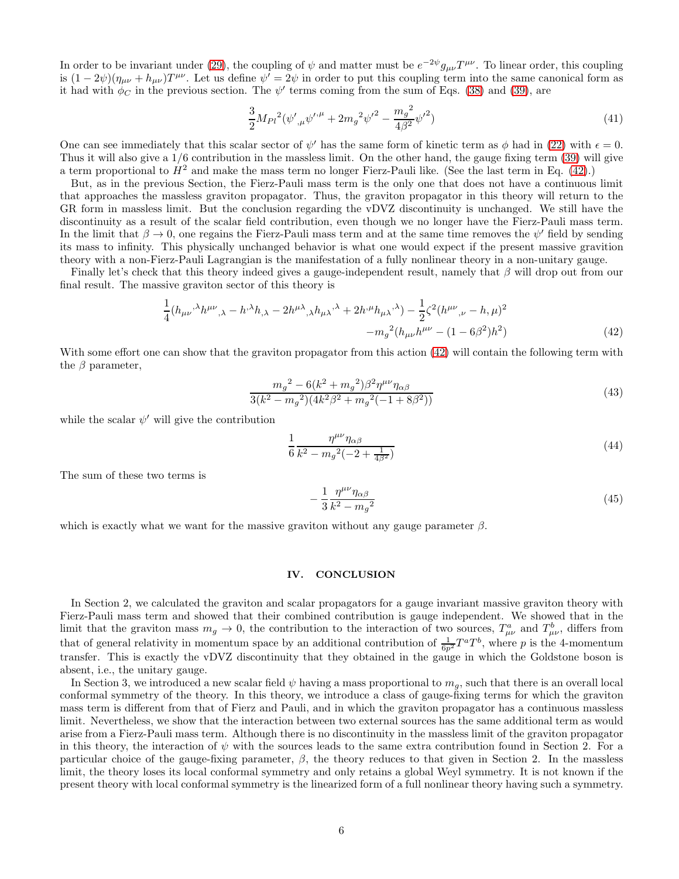In order to be invariant under [\(29\)](#page-4-3), the coupling of  $\psi$  and matter must be  $e^{-2\psi}g_{\mu\nu}T^{\mu\nu}$ . To linear order, this coupling is  $(1-2\psi)(\eta_{\mu\nu}+h_{\mu\nu})T^{\mu\nu}$ . Let us define  $\psi'=\overline{2\psi}$  in order to put this coupling term into the same canonical form as it had with  $\phi_C$  in the previous section. The  $\psi'$  terms coming from the sum of Eqs. [\(38\)](#page-4-2) and [\(39\)](#page-4-4), are

$$
\frac{3}{2}M_{Pl}{}^2(\psi'_{,\mu}\psi'^{,\mu} + 2m_g{}^2\psi'^2 - \frac{m_g{}^2}{4\beta^2}\psi'^2)
$$
\n(41)

One can see immediately that this scalar sector of  $\psi'$  has the same form of kinetic term as  $\phi$  had in [\(22\)](#page-3-1) with  $\epsilon = 0$ . Thus it will also give a 1/6 contribution in the massless limit. On the other hand, the gauge fixing term [\(39\)](#page-4-4) will give a term proportional to  $H^2$  and make the mass term no longer Fierz-Pauli like. (See the last term in Eq. [\(42\)](#page-5-0).)

But, as in the previous Section, the Fierz-Pauli mass term is the only one that does not have a continuous limit that approaches the massless graviton propagator. Thus, the graviton propagator in this theory will return to the GR form in massless limit. But the conclusion regarding the vDVZ discontinuity is unchanged. We still have the discontinuity as a result of the scalar field contribution, even though we no longer have the Fierz-Pauli mass term. In the limit that  $\beta \to 0$ , one regains the Fierz-Pauli mass term and at the same time removes the  $\psi'$  field by sending its mass to infinity. This physically unchanged behavior is what one would expect if the present massive gravition theory with a non-Fierz-Pauli Lagrangian is the manifestation of a fully nonlinear theory in a non-unitary gauge.

Finally let's check that this theory indeed gives a gauge-independent result, namely that  $\beta$  will drop out from our final result. The massive graviton sector of this theory is

<span id="page-5-0"></span>
$$
\frac{1}{4}(h_{\mu\nu}{}^{\lambda}h^{\mu\nu}{}_{,\lambda} - h^{\lambda}h_{,\lambda} - 2h^{\mu\lambda}{}_{,\lambda}h_{\mu\lambda}{}^{\lambda} + 2h^{\mu}h_{\mu\lambda}{}^{\lambda}) - \frac{1}{2}\zeta^{2}(h^{\mu\nu}{}_{,\nu} - h, \mu)^{2} - m_{g}{}^{2}(h_{\mu\nu}h^{\mu\nu} - (1 - 6\beta^{2})h^{2})
$$
\n(42)

With some effort one can show that the graviton propagator from this action [\(42\)](#page-5-0) will contain the following term with the  $\beta$  parameter,

$$
\frac{m_g^2 - 6(k^2 + m_g^2)\beta^2 \eta^{\mu\nu} \eta_{\alpha\beta}}{3(k^2 - m_g^2)(4k^2\beta^2 + m_g^2(-1 + 8\beta^2))}
$$
\n(43)

while the scalar  $\psi'$  will give the contribution

$$
\frac{1}{6} \frac{\eta^{\mu\nu} \eta_{\alpha\beta}}{k^2 - m_g{}^2(-2 + \frac{1}{4\beta^2})}
$$
\n(44)

The sum of these two terms is

$$
-\frac{1}{3}\frac{\eta^{\mu\nu}\eta_{\alpha\beta}}{k^2 - m_g^2} \tag{45}
$$

which is exactly what we want for the massive graviton without any gauge parameter  $\beta$ .

# IV. CONCLUSION

In Section 2, we calculated the graviton and scalar propagators for a gauge invariant massive graviton theory with Fierz-Pauli mass term and showed that their combined contribution is gauge independent. We showed that in the limit that the graviton mass  $m_g \to 0$ , the contribution to the interaction of two sources,  $T_{\mu\nu}^a$  and  $T_{\mu\nu}^b$ , differs from that of general relativity in momentum space by an additional contribution of  $\frac{1}{6p^2}T^aT^b$ , where p is the 4-momentum transfer. This is exactly the vDVZ discontinuity that they obtained in the gauge in which the Goldstone boson is absent, i.e., the unitary gauge.

In Section 3, we introduced a new scalar field  $\psi$  having a mass proportional to  $m_g$ , such that there is an overall local conformal symmetry of the theory. In this theory, we introduce a class of gauge-fixing terms for which the graviton mass term is different from that of Fierz and Pauli, and in which the graviton propagator has a continuous massless limit. Nevertheless, we show that the interaction between two external sources has the same additional term as would arise from a Fierz-Pauli mass term. Although there is no discontinuity in the massless limit of the graviton propagator in this theory, the interaction of  $\psi$  with the sources leads to the same extra contribution found in Section 2. For a particular choice of the gauge-fixing parameter,  $\beta$ , the theory reduces to that given in Section 2. In the massless limit, the theory loses its local conformal symmetry and only retains a global Weyl symmetry. It is not known if the present theory with local conformal symmetry is the linearized form of a full nonlinear theory having such a symmetry.